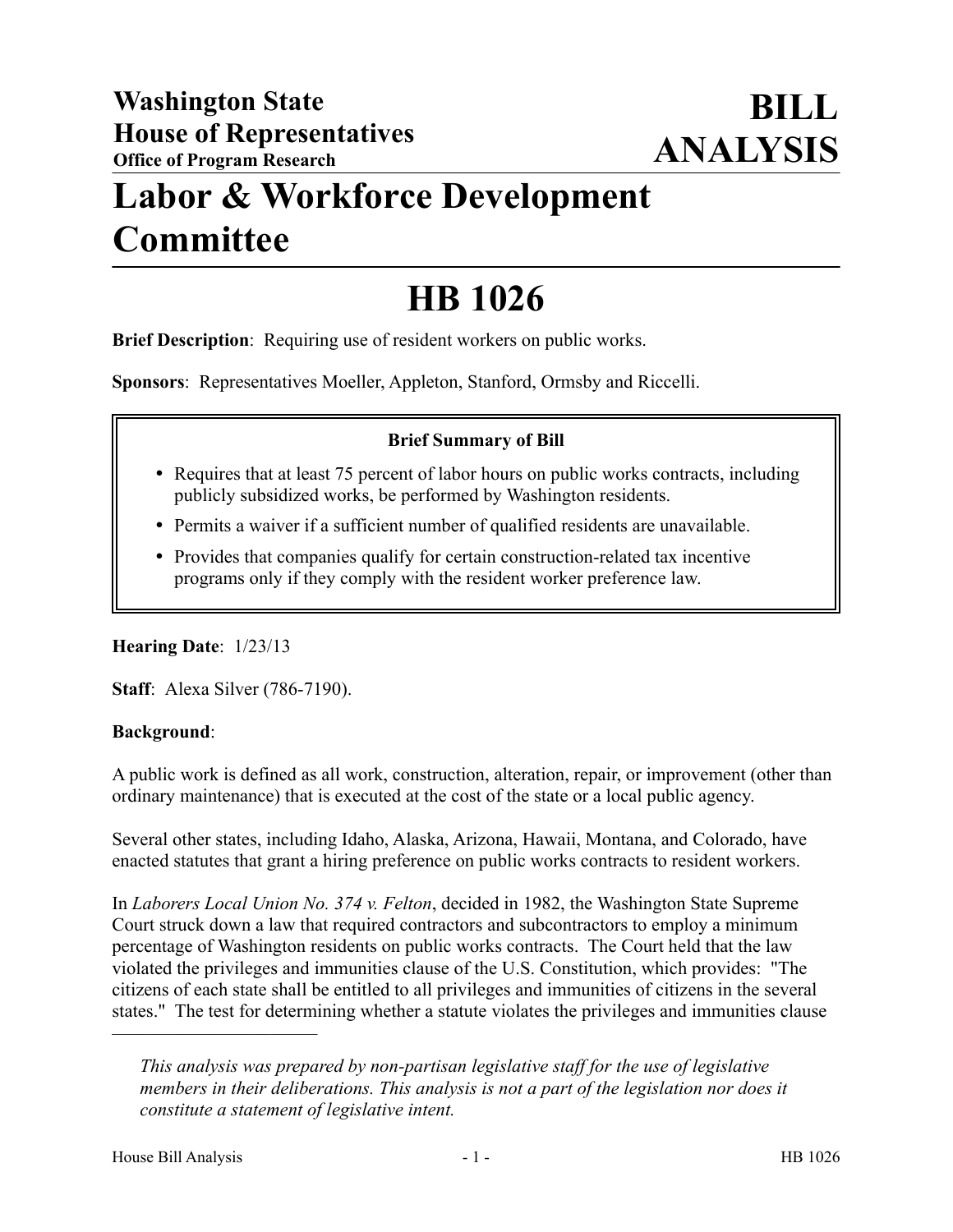## **Labor & Workforce Development Committee**

# **HB 1026**

**Brief Description**: Requiring use of resident workers on public works.

**Sponsors**: Representatives Moeller, Appleton, Stanford, Ormsby and Riccelli.

## **Brief Summary of Bill**

- Requires that at least 75 percent of labor hours on public works contracts, including publicly subsidized works, be performed by Washington residents.
- Permits a waiver if a sufficient number of qualified residents are unavailable.
- Provides that companies qualify for certain construction-related tax incentive programs only if they comply with the resident worker preference law.

## **Hearing Date**: 1/23/13

**Staff**: Alexa Silver (786-7190).

## **Background**:

A public work is defined as all work, construction, alteration, repair, or improvement (other than ordinary maintenance) that is executed at the cost of the state or a local public agency.

Several other states, including Idaho, Alaska, Arizona, Hawaii, Montana, and Colorado, have enacted statutes that grant a hiring preference on public works contracts to resident workers.

In *Laborers Local Union No. 374 v. Felton*, decided in 1982, the Washington State Supreme Court struck down a law that required contractors and subcontractors to employ a minimum percentage of Washington residents on public works contracts. The Court held that the law violated the privileges and immunities clause of the U.S. Constitution, which provides: "The citizens of each state shall be entitled to all privileges and immunities of citizens in the several states." The test for determining whether a statute violates the privileges and immunities clause

––––––––––––––––––––––

*This analysis was prepared by non-partisan legislative staff for the use of legislative members in their deliberations. This analysis is not a part of the legislation nor does it constitute a statement of legislative intent.*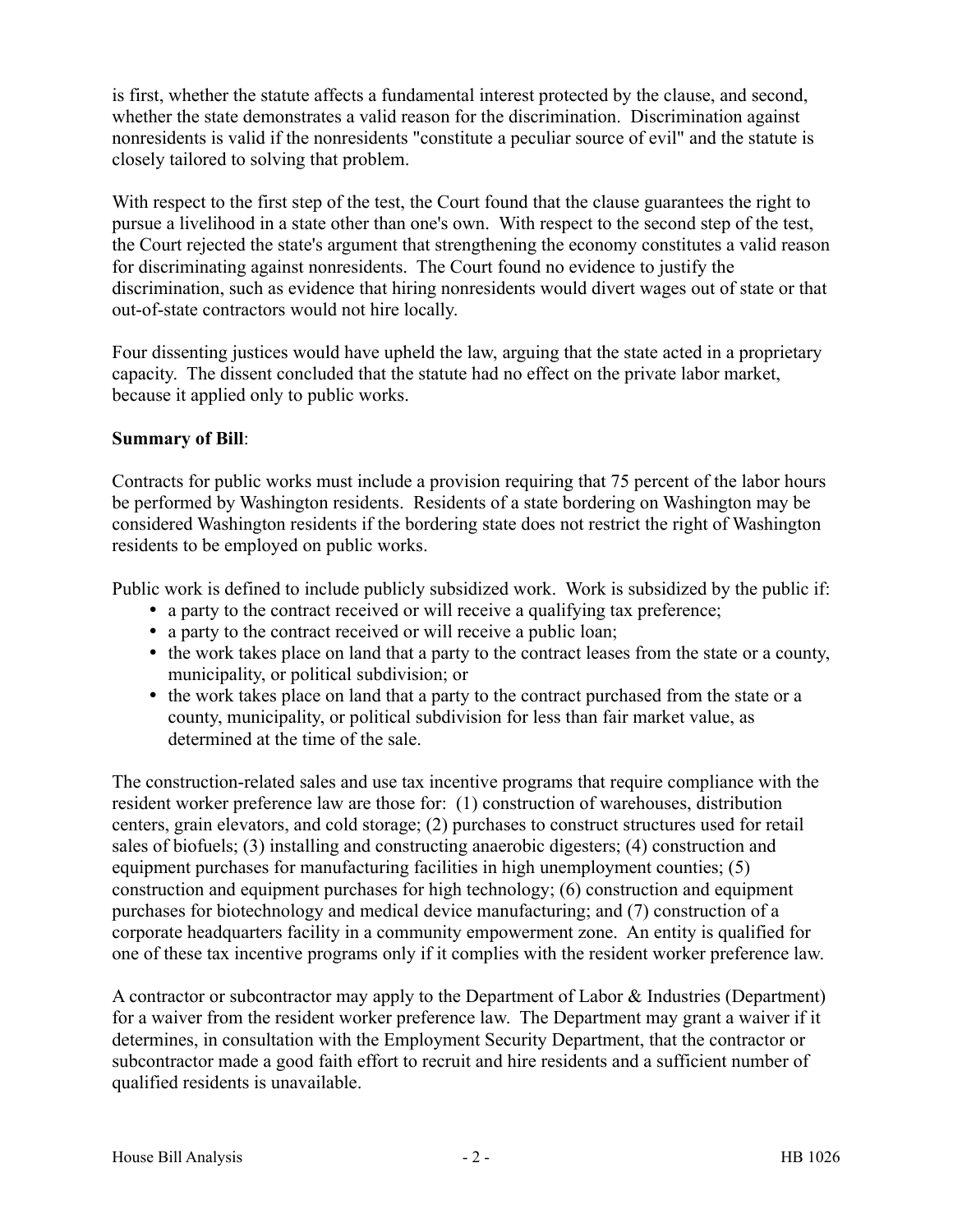is first, whether the statute affects a fundamental interest protected by the clause, and second, whether the state demonstrates a valid reason for the discrimination. Discrimination against nonresidents is valid if the nonresidents "constitute a peculiar source of evil" and the statute is closely tailored to solving that problem.

With respect to the first step of the test, the Court found that the clause guarantees the right to pursue a livelihood in a state other than one's own. With respect to the second step of the test, the Court rejected the state's argument that strengthening the economy constitutes a valid reason for discriminating against nonresidents. The Court found no evidence to justify the discrimination, such as evidence that hiring nonresidents would divert wages out of state or that out-of-state contractors would not hire locally.

Four dissenting justices would have upheld the law, arguing that the state acted in a proprietary capacity. The dissent concluded that the statute had no effect on the private labor market, because it applied only to public works.

#### **Summary of Bill**:

Contracts for public works must include a provision requiring that 75 percent of the labor hours be performed by Washington residents. Residents of a state bordering on Washington may be considered Washington residents if the bordering state does not restrict the right of Washington residents to be employed on public works.

Public work is defined to include publicly subsidized work. Work is subsidized by the public if:

- a party to the contract received or will receive a qualifying tax preference;
- a party to the contract received or will receive a public loan;
- the work takes place on land that a party to the contract leases from the state or a county, municipality, or political subdivision; or
- the work takes place on land that a party to the contract purchased from the state or a county, municipality, or political subdivision for less than fair market value, as determined at the time of the sale.

The construction-related sales and use tax incentive programs that require compliance with the resident worker preference law are those for: (1) construction of warehouses, distribution centers, grain elevators, and cold storage; (2) purchases to construct structures used for retail sales of biofuels; (3) installing and constructing anaerobic digesters; (4) construction and equipment purchases for manufacturing facilities in high unemployment counties; (5) construction and equipment purchases for high technology; (6) construction and equipment purchases for biotechnology and medical device manufacturing; and (7) construction of a corporate headquarters facility in a community empowerment zone. An entity is qualified for one of these tax incentive programs only if it complies with the resident worker preference law.

A contractor or subcontractor may apply to the Department of Labor & Industries (Department) for a waiver from the resident worker preference law. The Department may grant a waiver if it determines, in consultation with the Employment Security Department, that the contractor or subcontractor made a good faith effort to recruit and hire residents and a sufficient number of qualified residents is unavailable.